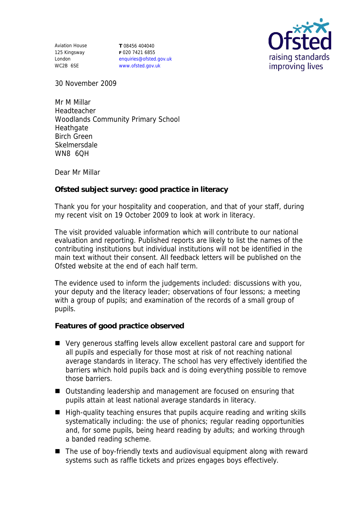Aviation House 125 Kingsway London WC2B 6SE

**T** 08456 404040 **F** 020 7421 6855 enquiries@ofsted.gov.uk www.ofsted.gov.uk



30 November 2009

Mr M Millar Headteacher Woodlands Community Primary School **Heathgate** Birch Green Skelmersdale WN8 6QH

Dear Mr Millar

**Ofsted subject survey: good practice in literacy** 

Thank you for your hospitality and cooperation, and that of your staff, during my recent visit on 19 October 2009 to look at work in literacy.

The visit provided valuable information which will contribute to our national evaluation and reporting. Published reports are likely to list the names of the contributing institutions but individual institutions will not be identified in the main text without their consent. All feedback letters will be published on the Ofsted website at the end of each half term.

The evidence used to inform the judgements included: discussions with you, your deputy and the literacy leader; observations of four lessons; a meeting with a group of pupils; and examination of the records of a small group of pupils.

**Features of good practice observed**

- Very generous staffing levels allow excellent pastoral care and support for all pupils and especially for those most at risk of not reaching national average standards in literacy. The school has very effectively identified the barriers which hold pupils back and is doing everything possible to remove those barriers.
- Outstanding leadership and management are focused on ensuring that pupils attain at least national average standards in literacy.
- High-quality teaching ensures that pupils acquire reading and writing skills systematically including: the use of phonics; regular reading opportunities and, for some pupils, being heard reading by adults; and working through a banded reading scheme.
- The use of boy-friendly texts and audiovisual equipment along with reward systems such as raffle tickets and prizes engages boys effectively.